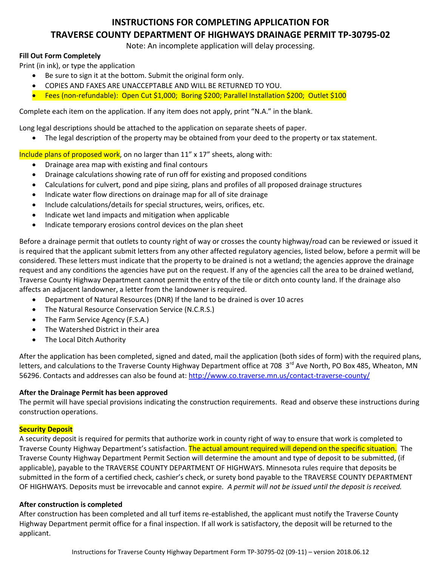# **INSTRUCTIONS FOR COMPLETING APPLICATION FOR TRAVERSE COUNTY DEPARTMENT OF HIGHWAYS DRAINAGE PERMIT TP-30795-02**

Note: An incomplete application will delay processing.

### **Fill Out Form Completely**

Print (in ink), or type the application

- Be sure to sign it at the bottom. Submit the original form only.
- COPIES AND FAXES ARE UNACCEPTABLE AND WILL BE RETURNED TO YOU.
- Fees (non-refundable): Open Cut \$1,000; Boring \$200; Parallel Installation \$200; Outlet \$100

Complete each item on the application. If any item does not apply, print "N.A." in the blank.

Long legal descriptions should be attached to the application on separate sheets of paper.

• The legal description of the property may be obtained from your deed to the property or tax statement.

Include plans of proposed work, on no larger than 11" x 17" sheets, along with:

- Drainage area map with existing and final contours
- Drainage calculations showing rate of run off for existing and proposed conditions
- Calculations for culvert, pond and pipe sizing, plans and profiles of all proposed drainage structures
- Indicate water flow directions on drainage map for all of site drainage
- Include calculations/details for special structures, weirs, orifices, etc.
- Indicate wet land impacts and mitigation when applicable
- Indicate temporary erosions control devices on the plan sheet

Before a drainage permit that outlets to county right of way or crosses the county highway/road can be reviewed or issued it is required that the applicant submit letters from any other affected regulatory agencies, listed below, before a permit will be considered. These letters must indicate that the property to be drained is not a wetland; the agencies approve the drainage request and any conditions the agencies have put on the request. If any of the agencies call the area to be drained wetland, Traverse County Highway Department cannot permit the entry of the tile or ditch onto county land. If the drainage also affects an adjacent landowner, a letter from the landowner is required.

- Department of Natural Resources (DNR) If the land to be drained is over 10 acres
- The Natural Resource Conservation Service (N.C.R.S.)
- The Farm Service Agency (F.S.A.)
- The Watershed District in their area
- The Local Ditch Authority

After the application has been completed, signed and dated, mail the application (both sides of form) with the required plans, letters, and calculations to the Traverse County Highway Department office at 708 3<sup>rd</sup> Ave North, PO Box 485, Wheaton, MN 56296. Contacts and addresses can also be found at[: http://www.co.traverse.mn.us/contact-traverse-county/](http://www.co.traverse.mn.us/contact-traverse-county/)

## **After the Drainage Permit has been approved**

The permit will have special provisions indicating the construction requirements. Read and observe these instructions during construction operations.

## **Security Deposit**

A security deposit is required for permits that authorize work in county right of way to ensure that work is completed to Traverse County Highway Department's satisfaction. The actual amount required will depend on the specific situation. The Traverse County Highway Department Permit Section will determine the amount and type of deposit to be submitted, (if applicable), payable to the TRAVERSE COUNTY DEPARTMENT OF HIGHWAYS. Minnesota rules require that deposits be submitted in the form of a certified check, cashier's check, or surety bond payable to the TRAVERSE COUNTY DEPARTMENT OF HIGHWAYS. Deposits must be irrevocable and cannot expire*. A permit will not be issued until the deposit is received.*

## **After construction is completed**

After construction has been completed and all turf items re-established, the applicant must notify the Traverse County Highway Department permit office for a final inspection. If all work is satisfactory, the deposit will be returned to the applicant.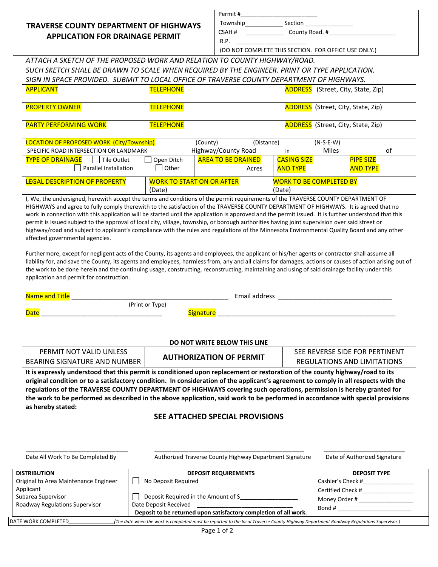# **TRAVERSE COUNTY DEPARTMENT OF HIGHWAYS APPLICATION FOR DRAINAGE PERMIT**

| Permit # |                                                      |  |
|----------|------------------------------------------------------|--|
| Township | Section                                              |  |
| CSAH #   | County Road. #                                       |  |
| R.P.     |                                                      |  |
|          | (DO NOT COMPLETE THIS SECTION. FOR OFFICE USE ONLY.) |  |

*ATTACH A SKETCH OF THE PROPOSED WORK AND RELATION TO COUNTY HIGHWAY/ROAD. SUCH SKETCH SHALL BE DRAWN TO SCALE WHEN REQUIRED BY THE ENGINEER. PRINT OR TYPE APPLICATION. SIGN IN SPACE PROVIDED. SUBMIT TO LOCAL OFFICE OF TRAVERSE COUNTY DEPARTMENT OF HIGHWAYS.*

| <b>APPLICANT</b>                                                | <b>TELEPHONE</b>      |                                    |            |                                       |             | <b>ADDRESS</b> (Street, City, State, Zip) |
|-----------------------------------------------------------------|-----------------------|------------------------------------|------------|---------------------------------------|-------------|-------------------------------------------|
| <b>PROPERTY OWNER</b>                                           | <b>TELEPHONE</b>      |                                    |            |                                       |             | <b>ADDRESS</b> (Street, City, State, Zip) |
| <b>PARTY PERFORMING WORK</b>                                    | <b>TELEPHONE</b>      |                                    |            |                                       |             | <b>ADDRESS</b> (Street, City, State, Zip) |
| LOCATION OF PROPOSED WORK (City/Township)                       |                       | (County)                           | (Distance) |                                       | $(N-S-E-W)$ |                                           |
| SPECIFIC ROAD INTERSECTION OR LANDMARK                          |                       | Highway/County Road                |            | in                                    | Miles       | 0f                                        |
| <b>TYPE OF DRAINAGE</b><br>Tile Outlet<br>Parallel Installation | Open Ditch<br>l Other | <b>AREA TO BE DRAINED</b><br>Acres |            | <b>CASING SIZE</b><br><b>AND TYPE</b> |             | <b>PIPE SIZE</b><br><b>AND TYPE</b>       |
| <b>LEGAL DESCRIPTION OF PROPERTY</b>                            |                       | <b>WORK TO START ON OR AFTER</b>   |            | <b>WORK TO BE COMPLETED BY</b>        |             |                                           |
|                                                                 | (Date)                |                                    |            | (Date)                                |             |                                           |

I, We, the undersigned, herewith accept the terms and conditions of the permit requirements of the TRAVERSE COUNTY DEPARTMENT OF HIGHWAYS and agree to fully comply therewith to the satisfaction of the TRAVERSE COUNTY DEPARTMENT OF HIGHWAYS. It is agreed that no work in connection with this application will be started until the application is approved and the permit issued. It is further understood that this permit is issued subject to the approval of local city, village, township, or borough authorities having joint supervision over said street or highway/road and subject to applicant's compliance with the rules and regulations of the Minnesota Environmental Quality Board and any other affected governmental agencies.

Furthermore, except for negligent acts of the County, its agents and employees, the applicant or his/her agents or contractor shall assume all liability for, and save the County, its agents and employees, harmless from, any and all claims for damages, actions or causes of action arising out of the work to be done herein and the continuing usage, constructing, reconstructing, maintaining and using of said drainage facility under this application and permit for construction.

| Name and    |                 |       | Email address |  |
|-------------|-----------------|-------|---------------|--|
|             | (Print or Type) |       |               |  |
| <b>Date</b> |                 | natur |               |  |

### **DO NOT WRITE BELOW THIS LINE**

|                              | . Heteroorseld on denker dalen klip nemik te een dittened onen neder en enkende en en en ef kleper med biskopen far ed ke tie |                                |
|------------------------------|-------------------------------------------------------------------------------------------------------------------------------|--------------------------------|
| BEARING SIGNATURE AND NUMBER | <b>AUTHORIZATION OF PERMIT</b>                                                                                                | REGULATIONS AND LIMITATIONS    |
| PERMIT NOT VALID UNLESS      |                                                                                                                               | SEE REVERSE SIDE FOR PERTINENT |

**It is expressly understood that this permit is conditioned upon replacement or restoration of the county highway/road to its original condition or to a satisfactory condition. In consideration of the applicant's agreement to comply in all respects with the regulations of the TRAVERSE COUNTY DEPARTMENT OF HIGHWAYS covering such operations, permission is hereby granted for the work to be performed as described in the above application, said work to be performed in accordance with special provisions as hereby stated:**

### **SEE ATTACHED SPECIAL PROVISIONS**

| Date All Work To Be Completed By      | Authorized Traverse County Highway Department Signature          | Date of Authorized Signature |
|---------------------------------------|------------------------------------------------------------------|------------------------------|
| <b>DISTRIBUTION</b>                   | <b>DEPOSIT REQUIREMENTS</b>                                      | <b>DEPOSIT TYPE</b>          |
| Original to Area Maintenance Engineer | No Deposit Required                                              | Cashier's Check #            |
| Applicant                             |                                                                  | Certified Check #            |
| Subarea Supervisor                    | Deposit Required in the Amount of \$                             | Money Order #                |
| Roadway Regulations Supervisor        | Date Deposit Received                                            | Bond #                       |
|                                       | Deposit to be returned upon satisfactory completion of all work. |                              |